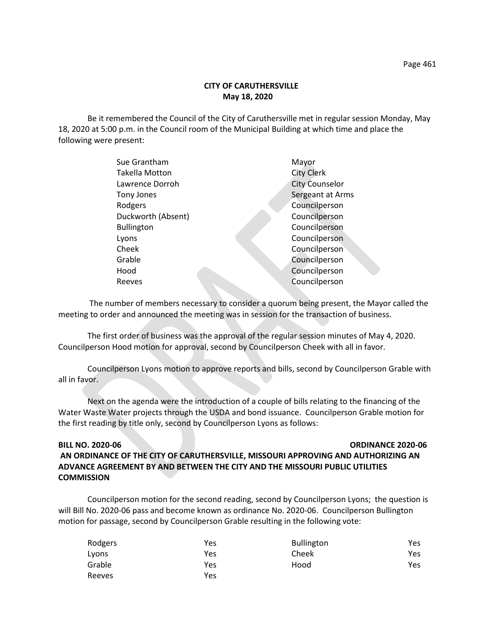Be it remembered the Council of the City of Caruthersville met in regular session Monday, May 18, 2020 at 5:00 p.m. in the Council room of the Municipal Building at which time and place the following were present:

| Sue Grantham          | Mayor                 |
|-----------------------|-----------------------|
| <b>Takella Motton</b> | <b>City Clerk</b>     |
| Lawrence Dorroh       | <b>City Counselor</b> |
| Tony Jones            | Sergeant at Arms      |
| Rodgers               | Councilperson         |
| Duckworth (Absent)    | Councilperson         |
| <b>Bullington</b>     | Councilperson         |
| Lyons                 | Councilperson         |
| Cheek                 | Councilperson         |
| Grable                | Councilperson         |
| Hood                  | Councilperson         |
| Reeves                | Councilperson         |
|                       |                       |

 The number of members necessary to consider a quorum being present, the Mayor called the meeting to order and announced the meeting was in session for the transaction of business.

The first order of business was the approval of the regular session minutes of May 4, 2020. Councilperson Hood motion for approval, second by Councilperson Cheek with all in favor.

Councilperson Lyons motion to approve reports and bills, second by Councilperson Grable with all in favor.

Next on the agenda were the introduction of a couple of bills relating to the financing of the Water Waste Water projects through the USDA and bond issuance. Councilperson Grable motion for the first reading by title only, second by Councilperson Lyons as follows:

## **BILL NO. 2020-06 ORDINANCE 2020-06**

# **AN ORDINANCE OF THE CITY OF CARUTHERSVILLE, MISSOURI APPROVING AND AUTHORIZING AN ADVANCE AGREEMENT BY AND BETWEEN THE CITY AND THE MISSOURI PUBLIC UTILITIES COMMISSION**

Councilperson motion for the second reading, second by Councilperson Lyons; the question is will Bill No. 2020-06 pass and become known as ordinance No. 2020-06. Councilperson Bullington motion for passage, second by Councilperson Grable resulting in the following vote:

| Rodgers | Yes | <b>Bullington</b> | Yes. |
|---------|-----|-------------------|------|
| Lyons   | Yes | Cheek             | Yes. |
| Grable  | Yes | Hood              | Yes. |
| Reeves  | Yes |                   |      |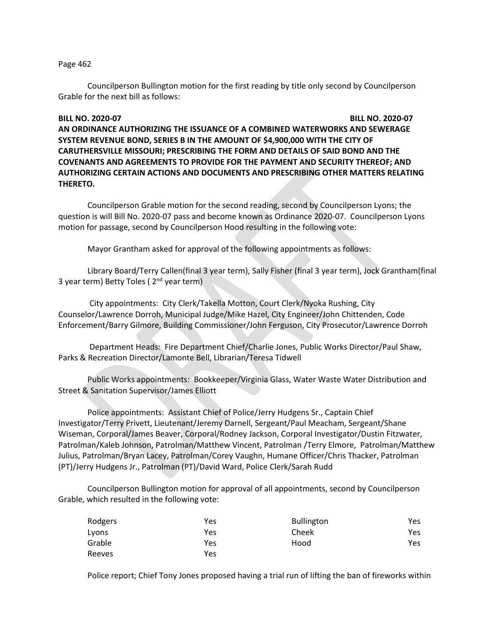### Page 462

Councilperson Bullington motion for the first reading by title only second by Councilperson Grable for the next bill as follows:

# **BILL NO. 2020-07 BILL NO. 2020-07 AN ORDINANCE AUTHORIZING THE ISSUANCE OF A COMBINED WATERWORKS AND SEWERAGE SYSTEM REVENUE BOND, SERIES B IN THE AMOUNT OF \$4,900,000 WITH THE CITY OF CARUTHERSVILLE MISSOURI; PRESCRIBING THE FORM AND DETAILS OF SAID BOND AND THE COVENANTS AND AGREEMENTS TO PROVIDE FOR THE PAYMENT AND SECURITY THEREOF; AND AUTHORIZING CERTAIN ACTIONS AND DOCUMENTS AND PRESCRIBING OTHER MATTERS RELATING THERETO.**

Councilperson Grable motion for the second reading, second by Councilperson Lyons; the question is will Bill No. 2020-07 pass and become known as Ordinance 2020-07. Councilperson Lyons motion for passage, second by Councilperson Hood resulting in the following vote:

Mayor Grantham asked for approval of the following appointments as follows:

Library Board/Terry Callen(final 3 year term), Sally Fisher (final 3 year term), Jock Grantham(final 3 year term) Betty Toles ( $2<sup>nd</sup>$  year term)

City appointments: City Clerk/Takella Motton, Court Clerk/Nyoka Rushing, City Counselor/Lawrence Dorroh, Municipal Judge/Mike Hazel, City Engineer/John Chittenden, Code Enforcement/Barry Gilmore, Building Commissioner/John Ferguson, City Prosecutor/Lawrence Dorroh

Department Heads: Fire Department Chief/Charlie Jones, Public Works Director/Paul Shaw, Parks & Recreation Director/Lamonte Bell, Librarian/Teresa Tidwell

Public Works appointments: Bookkeeper/Virginia Glass, Water Waste Water Distribution and Street & Sanitation Supervisor/James Elliott

Police appointments: Assistant Chief of Police/Jerry Hudgens Sr., Captain Chief Investigator/Terry Privett, Lieutenant/Jeremy Darnell, Sergeant/Paul Meacham, Sergeant/Shane Wiseman, Corporal/James Beaver, Corporal/Rodney Jackson, Corporal Investigator/Dustin Fitzwater, Patrolman/Kaleb Johnson, Patrolman/Matthew Vincent, Patrolman /Terry Elmore, Patrolman/Matthew Julius, Patrolman/Bryan Lacey, Patrolman/Corey Vaughn, Humane Officer/Chris Thacker, Patrolman (PT)/Jerry Hudgens Jr., Patrolman (PT)/David Ward, Police Clerk/Sarah Rudd

Councilperson Bullington motion for approval of all appointments, second by Councilperson Grable, which resulted in the following vote:

| Rodgers | Yes | <b>Bullington</b> | Yes |
|---------|-----|-------------------|-----|
| Lyons   | Yes | Cheek             | Yes |
| Grable  | Yes | Hood              | Yes |
| Reeves  | Yes |                   |     |

Police report; Chief Tony Jones proposed having a trial run of lifting the ban of fireworks within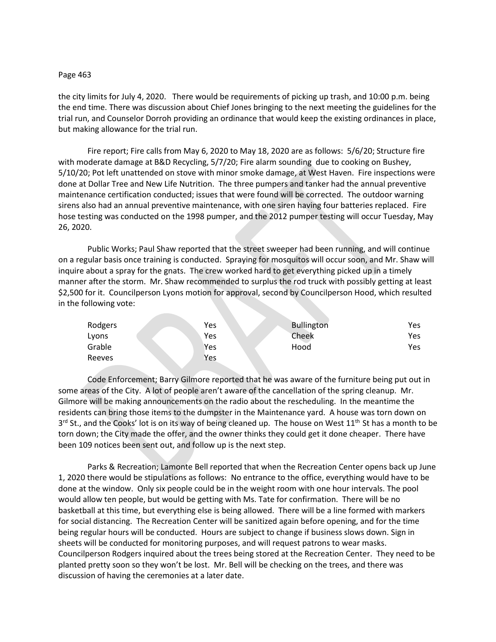### Page 463

the city limits for July 4, 2020. There would be requirements of picking up trash, and 10:00 p.m. being the end time. There was discussion about Chief Jones bringing to the next meeting the guidelines for the trial run, and Counselor Dorroh providing an ordinance that would keep the existing ordinances in place, but making allowance for the trial run.

Fire report; Fire calls from May 6, 2020 to May 18, 2020 are as follows: 5/6/20; Structure fire with moderate damage at B&D Recycling, 5/7/20; Fire alarm sounding due to cooking on Bushey, 5/10/20; Pot left unattended on stove with minor smoke damage, at West Haven. Fire inspections were done at Dollar Tree and New Life Nutrition. The three pumpers and tanker had the annual preventive maintenance certification conducted; issues that were found will be corrected. The outdoor warning sirens also had an annual preventive maintenance, with one siren having four batteries replaced. Fire hose testing was conducted on the 1998 pumper, and the 2012 pumper testing will occur Tuesday, May 26, 2020.

Public Works; Paul Shaw reported that the street sweeper had been running, and will continue on a regular basis once training is conducted. Spraying for mosquitos will occur soon, and Mr. Shaw will inquire about a spray for the gnats. The crew worked hard to get everything picked up in a timely manner after the storm. Mr. Shaw recommended to surplus the rod truck with possibly getting at least \$2,500 for it. Councilperson Lyons motion for approval, second by Councilperson Hood, which resulted in the following vote:

| Rodgers | Yes | <b>Bullington</b> | Yes |
|---------|-----|-------------------|-----|
| Lyons   | Yes | Cheek             | Yes |
| Grable  | Yes | Hood              | Yes |
| Reeves  | Yes |                   |     |

Code Enforcement; Barry Gilmore reported that he was aware of the furniture being put out in some areas of the City. A lot of people aren't aware of the cancellation of the spring cleanup. Mr. Gilmore will be making announcements on the radio about the rescheduling. In the meantime the residents can bring those items to the dumpster in the Maintenance yard. A house was torn down on 3<sup>rd</sup> St., and the Cooks' lot is on its way of being cleaned up. The house on West 11<sup>th</sup> St has a month to be torn down; the City made the offer, and the owner thinks they could get it done cheaper. There have been 109 notices been sent out, and follow up is the next step.

Parks & Recreation; Lamonte Bell reported that when the Recreation Center opens back up June 1, 2020 there would be stipulations as follows: No entrance to the office, everything would have to be done at the window. Only six people could be in the weight room with one hour intervals. The pool would allow ten people, but would be getting with Ms. Tate for confirmation. There will be no basketball at this time, but everything else is being allowed. There will be a line formed with markers for social distancing. The Recreation Center will be sanitized again before opening, and for the time being regular hours will be conducted. Hours are subject to change if business slows down. Sign in sheets will be conducted for monitoring purposes, and will request patrons to wear masks. Councilperson Rodgers inquired about the trees being stored at the Recreation Center. They need to be planted pretty soon so they won't be lost. Mr. Bell will be checking on the trees, and there was discussion of having the ceremonies at a later date.